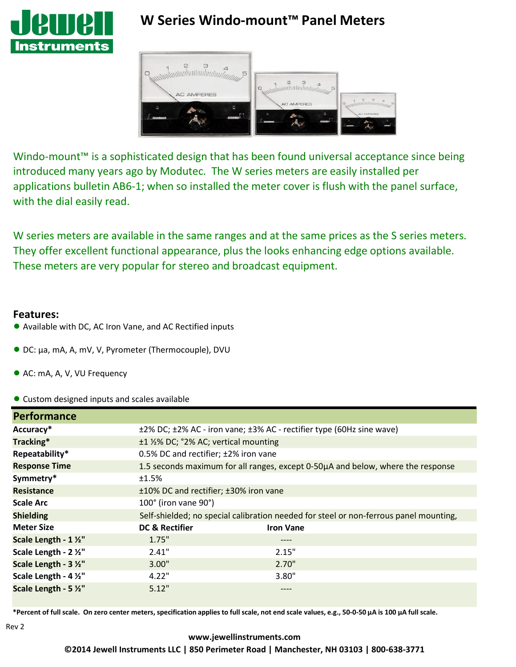

# **W Series Windo-mount™ Panel Meters**



Windo-mount<sup>™</sup> is a sophisticated design that has been found universal acceptance since being introduced many years ago by Modutec. The W series meters are easily installed per applications bulletin AB6-1; when so installed the meter cover is flush with the panel surface, with the dial easily read.

W series meters are available in the same ranges and at the same prices as the S series meters. They offer excellent functional appearance, plus the looks enhancing edge options available. These meters are very popular for stereo and broadcast equipment.

#### **Features:**

- Available with DC, AC Iron Vane, and AC Rectified inputs
- DC: µa, mA, A, mV, V, Pyrometer (Thermocouple), DVU
- AC: mA, A, V, VU Frequency
- Custom designed inputs and scales available

| <b>Performance</b>    |                                                                                       |                  |  |
|-----------------------|---------------------------------------------------------------------------------------|------------------|--|
| Accuracy*             | ±2% DC; ±2% AC - iron vane; ±3% AC - rectifier type (60Hz sine wave)                  |                  |  |
| Tracking*             | ±1 1⁄2% DC; °2% AC; vertical mounting                                                 |                  |  |
| Repeatability*        | 0.5% DC and rectifier; ±2% iron vane                                                  |                  |  |
| <b>Response Time</b>  | 1.5 seconds maximum for all ranges, except 0-50µA and below, where the response       |                  |  |
| Symmetry*             | ±1.5%                                                                                 |                  |  |
| <b>Resistance</b>     | ±10% DC and rectifier; ±30% iron vane                                                 |                  |  |
| <b>Scale Arc</b>      | 100° (iron vane 90°)                                                                  |                  |  |
| <b>Shielding</b>      | Self-shielded; no special calibration needed for steel or non-ferrous panel mounting, |                  |  |
| <b>Meter Size</b>     | DC & Rectifier                                                                        | <b>Iron Vane</b> |  |
| Scale Length - 1 1/2" | 1.75"                                                                                 | ----             |  |
| Scale Length - 2 1/2" | 2.41"                                                                                 | 2.15"            |  |
| Scale Length - 3 1/2" | 3.00"                                                                                 | 2.70"            |  |
| Scale Length - 4 1/2" | 4.22"                                                                                 | 3.80"            |  |
| Scale Length - 5 1/2" | 5.12"                                                                                 |                  |  |

\*Percent of full scale. On zero center meters, specification applies to full scale, not end scale values, e.g., 50-0-50 µA is 100 µA full scale.